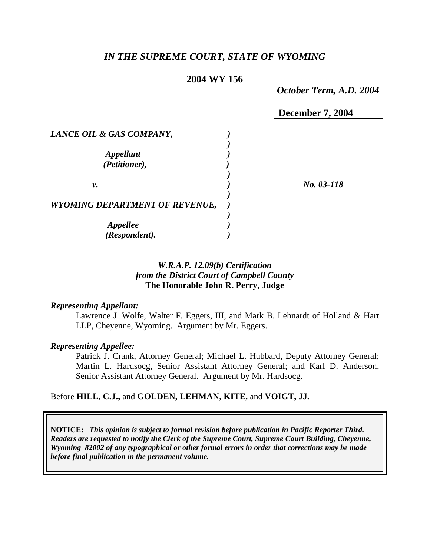## *IN THE SUPREME COURT, STATE OF WYOMING*

## **2004 WY 156**

*October Term, A.D. 2004* 

|                                       | <b>December 7, 2004</b> |
|---------------------------------------|-------------------------|
| LANCE OIL & GAS COMPANY,              |                         |
|                                       |                         |
| <b>Appellant</b>                      |                         |
| (Petitioner),                         |                         |
|                                       |                         |
| ν.                                    | No. 03-118              |
|                                       |                         |
| <b>WYOMING DEPARTMENT OF REVENUE,</b> |                         |
|                                       |                         |
| <b>Appellee</b>                       |                         |
| (Respondent).                         |                         |

## *W.R.A.P. 12.09(b) Certification from the District Court of Campbell County* **The Honorable John R. Perry, Judge**

#### *Representing Appellant:*

Lawrence J. Wolfe, Walter F. Eggers, III, and Mark B. Lehnardt of Holland & Hart LLP, Cheyenne, Wyoming. Argument by Mr. Eggers.

### *Representing Appellee:*

Patrick J. Crank, Attorney General; Michael L. Hubbard, Deputy Attorney General; Martin L. Hardsocg, Senior Assistant Attorney General; and Karl D. Anderson, Senior Assistant Attorney General. Argument by Mr. Hardsocg.

### Before **HILL, C.J.,** and **GOLDEN, LEHMAN, KITE,** and **VOIGT, JJ.**

**NOTICE:** *This opinion is subject to formal revision before publication in Pacific Reporter Third. Readers are requested to notify the Clerk of the Supreme Court, Supreme Court Building, Cheyenne, Wyoming 82002 of any typographical or other formal errors in order that corrections may be made before final publication in the permanent volume.*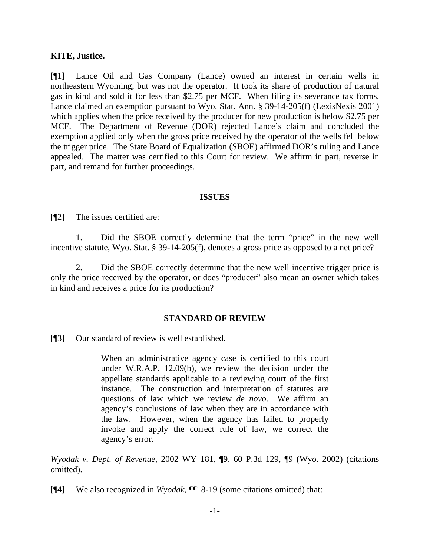### **KITE, Justice.**

[¶1] Lance Oil and Gas Company (Lance) owned an interest in certain wells in northeastern Wyoming, but was not the operator. It took its share of production of natural gas in kind and sold it for less than \$2.75 per MCF. When filing its severance tax forms, Lance claimed an exemption pursuant to Wyo. Stat. Ann. § 39-14-205(f) (LexisNexis 2001) which applies when the price received by the producer for new production is below \$2.75 per MCF. The Department of Revenue (DOR) rejected Lance's claim and concluded the exemption applied only when the gross price received by the operator of the wells fell below the trigger price. The State Board of Equalization (SBOE) affirmed DOR's ruling and Lance appealed. The matter was certified to this Court for review. We affirm in part, reverse in part, and remand for further proceedings.

### **ISSUES**

[¶2] The issues certified are:

1. Did the SBOE correctly determine that the term "price" in the new well incentive statute, Wyo. Stat. § 39-14-205(f), denotes a gross price as opposed to a net price?

2. Did the SBOE correctly determine that the new well incentive trigger price is only the price received by the operator, or does "producer" also mean an owner which takes in kind and receives a price for its production?

## **STANDARD OF REVIEW**

[¶3] Our standard of review is well established.

When an administrative agency case is certified to this court under W.R.A.P. 12.09(b), we review the decision under the appellate standards applicable to a reviewing court of the first instance. The construction and interpretation of statutes are questions of law which we review *de novo*. We affirm an agency's conclusions of law when they are in accordance with the law.However, when the agency has failed to properly invoke and apply the correct rule of law, we correct the agency's error.

*Wyodak v. Dept. of Revenue*, 2002 WY 181, ¶9, 60 P.3d 129, ¶9 (Wyo. 2002) (citations omitted).

[¶4] We also recognized in *Wyodak*, ¶¶18-19 (some citations omitted) that: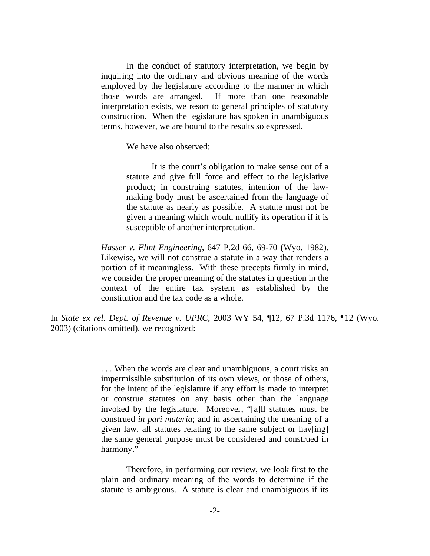In the conduct of statutory interpretation, we begin by inquiring into the ordinary and obvious meaning of the words employed by the legislature according to the manner in which those words are arranged. If more than one reasonable interpretation exists, we resort to general principles of statutory construction. When the legislature has spoken in unambiguous terms, however, we are bound to the results so expressed.

We have also observed:

 It is the court's obligation to make sense out of a statute and give full force and effect to the legislative product; in construing statutes, intention of the lawmaking body must be ascertained from the language of the statute as nearly as possible. A statute must not be given a meaning which would nullify its operation if it is susceptible of another interpretation.

*Hasser v. Flint Engineering*, 647 P.2d 66, 69-70 (Wyo. 1982). Likewise, we will not construe a statute in a way that renders a portion of it meaningless. With these precepts firmly in mind, we consider the proper meaning of the statutes in question in the context of the entire tax system as established by the constitution and the tax code as a whole.

In *State ex rel. Dept. of Revenue v. UPRC*, 2003 WY 54, ¶12, 67 P.3d 1176, ¶12 (Wyo. 2003) (citations omitted), we recognized:

> . . . When the words are clear and unambiguous, a court risks an impermissible substitution of its own views, or those of others, for the intent of the legislature if any effort is made to interpret or construe statutes on any basis other than the language invoked by the legislature. Moreover, "[a]ll statutes must be construed *in pari materia*; and in ascertaining the meaning of a given law, all statutes relating to the same subject or haven the same general purpose must be considered and construed in harmony."

> Therefore, in performing our review, we look first to the plain and ordinary meaning of the words to determine if the statute is ambiguous. A statute is clear and unambiguous if its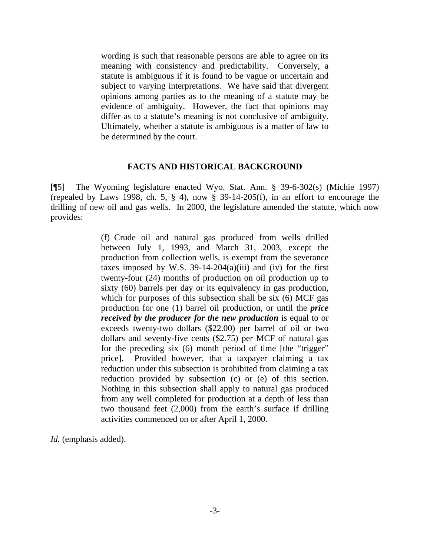wording is such that reasonable persons are able to agree on its meaning with consistency and predictability. Conversely, a statute is ambiguous if it is found to be vague or uncertain and subject to varying interpretations. We have said that divergent opinions among parties as to the meaning of a statute may be evidence of ambiguity. However, the fact that opinions may differ as to a statute's meaning is not conclusive of ambiguity. Ultimately, whether a statute is ambiguous is a matter of law to be determined by the court.

### **FACTS AND HISTORICAL BACKGROUND**

[¶5] The Wyoming legislature enacted Wyo. Stat. Ann. § 39-6-302(s) (Michie 1997) (repealed by Laws 1998, ch. 5,  $\S$  4), now  $\S$  39-14-205(f), in an effort to encourage the drilling of new oil and gas wells. In 2000, the legislature amended the statute, which now provides:

> (f) Crude oil and natural gas produced from wells drilled between July 1, 1993, and March 31, 2003, except the production from collection wells, is exempt from the severance taxes imposed by W.S.  $39-14-204(a)(iii)$  and (iv) for the first twenty-four (24) months of production on oil production up to sixty (60) barrels per day or its equivalency in gas production, which for purposes of this subsection shall be six (6) MCF gas production for one (1) barrel oil production, or until the *price received by the producer for the new production* is equal to or exceeds twenty-two dollars (\$22.00) per barrel of oil or two dollars and seventy-five cents (\$2.75) per MCF of natural gas for the preceding six (6) month period of time [the "trigger" price]. Provided however, that a taxpayer claiming a tax reduction under this subsection is prohibited from claiming a tax reduction provided by subsection (c) or (e) of this section. Nothing in this subsection shall apply to natural gas produced from any well completed for production at a depth of less than two thousand feet (2,000) from the earth's surface if drilling activities commenced on or after April 1, 2000.

*Id.* (emphasis added).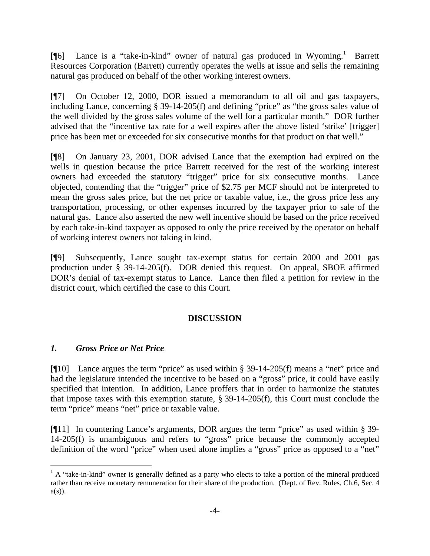[¶6] Lance is a "take-in-kind" owner of natural gas produced in Wyoming.<sup>1</sup> Barrett Resources Corporation (Barrett) currently operates the wells at issue and sells the remaining natural gas produced on behalf of the other working interest owners.

[¶7] On October 12, 2000, DOR issued a memorandum to all oil and gas taxpayers, including Lance, concerning § 39-14-205(f) and defining "price" as "the gross sales value of the well divided by the gross sales volume of the well for a particular month." DOR further advised that the "incentive tax rate for a well expires after the above listed 'strike' [trigger] price has been met or exceeded for six consecutive months for that product on that well."

[¶8] On January 23, 2001, DOR advised Lance that the exemption had expired on the wells in question because the price Barrett received for the rest of the working interest owners had exceeded the statutory "trigger" price for six consecutive months. Lance objected, contending that the "trigger" price of \$2.75 per MCF should not be interpreted to mean the gross sales price, but the net price or taxable value, i.e., the gross price less any transportation, processing, or other expenses incurred by the taxpayer prior to sale of the natural gas. Lance also asserted the new well incentive should be based on the price received by each take-in-kind taxpayer as opposed to only the price received by the operator on behalf of working interest owners not taking in kind.

[¶9] Subsequently, Lance sought tax-exempt status for certain 2000 and 2001 gas production under § 39-14-205(f). DOR denied this request. On appeal, SBOE affirmed DOR's denial of tax-exempt status to Lance. Lance then filed a petition for review in the district court, which certified the case to this Court.

# **DISCUSSION**

# *1. Gross Price or Net Price*

 $\overline{a}$ 

[¶10] Lance argues the term "price" as used within § 39-14-205(f) means a "net" price and had the legislature intended the incentive to be based on a "gross" price, it could have easily specified that intention. In addition, Lance proffers that in order to harmonize the statutes that impose taxes with this exemption statute, § 39-14-205(f), this Court must conclude the term "price" means "net" price or taxable value.

[¶11] In countering Lance's arguments, DOR argues the term "price" as used within § 39-14-205(f) is unambiguous and refers to "gross" price because the commonly accepted definition of the word "price" when used alone implies a "gross" price as opposed to a "net"

<sup>&</sup>lt;sup>1</sup> A "take-in-kind" owner is generally defined as a party who elects to take a portion of the mineral produced rather than receive monetary remuneration for their share of the production. (Dept. of Rev. Rules, Ch.6, Sec. 4  $a(s)$ ).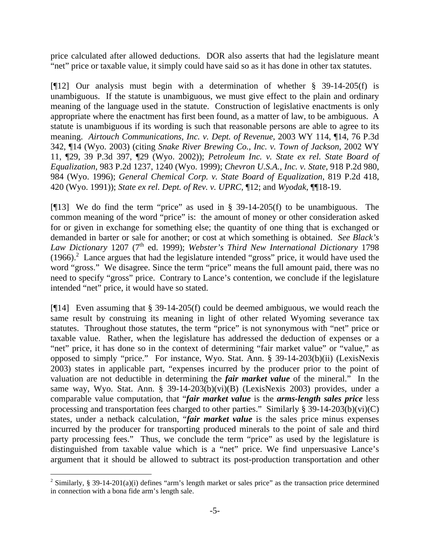price calculated after allowed deductions. DOR also asserts that had the legislature meant "net" price or taxable value, it simply could have said so as it has done in other tax statutes.

[¶12] Our analysis must begin with a determination of whether § 39-14-205(f) is unambiguous. If the statute is unambiguous, we must give effect to the plain and ordinary meaning of the language used in the statute. Construction of legislative enactments is only appropriate where the enactment has first been found, as a matter of law, to be ambiguous. A statute is unambiguous if its wording is such that reasonable persons are able to agree to its meaning. *Airtouch Communications, Inc. v. Dept. of Revenue*, 2003 WY 114, ¶14, 76 P.3d 342, ¶14 (Wyo. 2003) (citing *Snake River Brewing Co., Inc. v. Town of Jackson*, 2002 WY 11, ¶29, 39 P.3d 397, ¶29 (Wyo. 2002)); *Petroleum Inc. v. State ex rel. State Board of Equalization*, 983 P.2d 1237, 1240 (Wyo. 1999); *Chevron U.S.A., Inc. v. State*, 918 P.2d 980, 984 (Wyo. 1996); *General Chemical Corp. v. State Board of Equalization*, 819 P.2d 418, 420 (Wyo. 1991)); *State ex rel. Dept. of Rev. v. UPRC*, ¶12; and *Wyodak*, ¶¶18-19.

[¶13] We do find the term "price" as used in § 39-14-205(f) to be unambiguous. The common meaning of the word "price" is: the amount of money or other consideration asked for or given in exchange for something else; the quantity of one thing that is exchanged or demanded in barter or sale for another; or cost at which something is obtained. *See Black's*  Law Dictionary 1207 (7<sup>th</sup> ed. 1999); *Webster's Third New International Dictionary* 1798  $(1966).$ <sup>2</sup> Lance argues that had the legislature intended "gross" price, it would have used the word "gross." We disagree. Since the term "price" means the full amount paid, there was no need to specify "gross" price. Contrary to Lance's contention, we conclude if the legislature intended "net" price, it would have so stated.

[¶14] Even assuming that § 39-14-205(f) could be deemed ambiguous, we would reach the same result by construing its meaning in light of other related Wyoming severance tax statutes. Throughout those statutes, the term "price" is not synonymous with "net" price or taxable value. Rather, when the legislature has addressed the deduction of expenses or a "net" price, it has done so in the context of determining "fair market value" or "value," as opposed to simply "price." For instance, Wyo. Stat. Ann. § 39-14-203(b)(ii) (LexisNexis 2003) states in applicable part, "expenses incurred by the producer prior to the point of valuation are not deductible in determining the *fair market value* of the mineral." In the same way, Wyo. Stat. Ann. § 39-14-203(b)(vi)(B) (LexisNexis 2003) provides, under a comparable value computation, that "*fair market value* is the *arms-length sales price* less processing and transportation fees charged to other parties." Similarly § 39-14-203(b)(vi)(C) states, under a netback calculation, "*fair market value* is the sales price minus expenses incurred by the producer for transporting produced minerals to the point of sale and third party processing fees." Thus, we conclude the term "price" as used by the legislature is distinguished from taxable value which is a "net" price. We find unpersuasive Lance's argument that it should be allowed to subtract its post-production transportation and other

 $\overline{a}$ 

<sup>&</sup>lt;sup>2</sup> Similarly, § 39-14-201(a)(i) defines "arm's length market or sales price" as the transaction price determined in connection with a bona fide arm's length sale.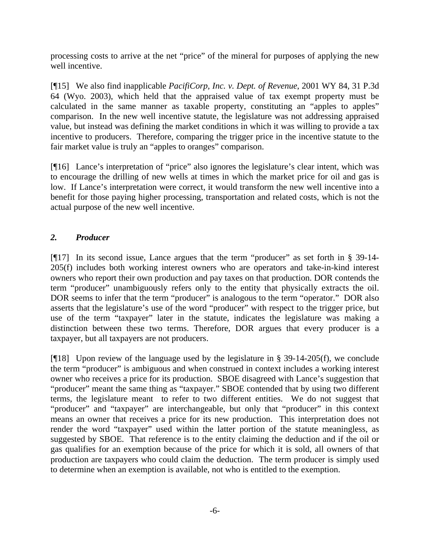processing costs to arrive at the net "price" of the mineral for purposes of applying the new well incentive.

[¶15] We also find inapplicable *PacifiCorp, Inc. v. Dept. of Revenue*, 2001 WY 84, 31 P.3d 64 (Wyo. 2003), which held that the appraised value of tax exempt property must be calculated in the same manner as taxable property, constituting an "apples to apples" comparison. In the new well incentive statute, the legislature was not addressing appraised value, but instead was defining the market conditions in which it was willing to provide a tax incentive to producers. Therefore, comparing the trigger price in the incentive statute to the fair market value is truly an "apples to oranges" comparison.

[¶16] Lance's interpretation of "price" also ignores the legislature's clear intent, which was to encourage the drilling of new wells at times in which the market price for oil and gas is low. If Lance's interpretation were correct, it would transform the new well incentive into a benefit for those paying higher processing, transportation and related costs, which is not the actual purpose of the new well incentive.

# *2. Producer*

[¶17] In its second issue, Lance argues that the term "producer" as set forth in § 39-14- 205(f) includes both working interest owners who are operators and take-in-kind interest owners who report their own production and pay taxes on that production. DOR contends the term "producer" unambiguously refers only to the entity that physically extracts the oil. DOR seems to infer that the term "producer" is analogous to the term "operator." DOR also asserts that the legislature's use of the word "producer" with respect to the trigger price, but use of the term "taxpayer" later in the statute, indicates the legislature was making a distinction between these two terms. Therefore, DOR argues that every producer is a taxpayer, but all taxpayers are not producers.

[¶18] Upon review of the language used by the legislature in § 39-14-205(f), we conclude the term "producer" is ambiguous and when construed in context includes a working interest owner who receives a price for its production. SBOE disagreed with Lance's suggestion that "producer" meant the same thing as "taxpayer." SBOE contended that by using two different terms, the legislature meant to refer to two different entities. We do not suggest that "producer" and "taxpayer" are interchangeable, but only that "producer" in this context means an owner that receives a price for its new production. This interpretation does not render the word "taxpayer" used within the latter portion of the statute meaningless, as suggested by SBOE. That reference is to the entity claiming the deduction and if the oil or gas qualifies for an exemption because of the price for which it is sold, all owners of that production are taxpayers who could claim the deduction. The term producer is simply used to determine when an exemption is available, not who is entitled to the exemption.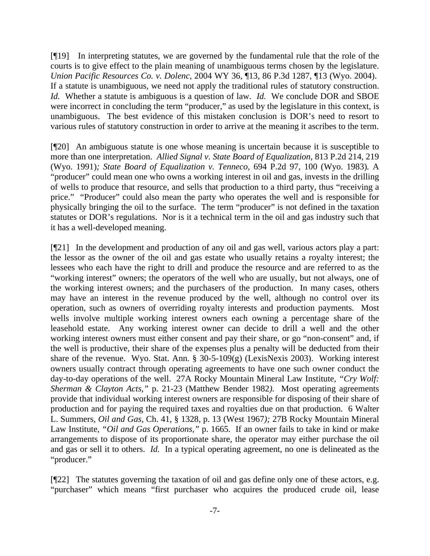[¶19] In interpreting statutes, we are governed by the fundamental rule that the role of the courts is to give effect to the plain meaning of unambiguous terms chosen by the legislature. *Union Pacific Resources Co. v. Dolenc*, 2004 WY 36, ¶13, 86 P.3d 1287, ¶13 (Wyo. 2004). If a statute is unambiguous, we need not apply the traditional rules of statutory construction. *Id.* Whether a statute is ambiguous is a question of law. *Id.* We conclude DOR and SBOE were incorrect in concluding the term "producer," as used by the legislature in this context, is unambiguous. The best evidence of this mistaken conclusion is DOR's need to resort to various rules of statutory construction in order to arrive at the meaning it ascribes to the term.

[¶20] An ambiguous statute is one whose meaning is uncertain because it is susceptible to more than one interpretation. *Allied Signal v. State Board of Equalization,* 813 P.2d 214, 219 (Wyo. 1991)*; State Board of Equalization v. Tenneco,* 694 P.2d 97, 100 (Wyo. 1983)*.* A "producer" could mean one who owns a working interest in oil and gas, invests in the drilling of wells to produce that resource, and sells that production to a third party, thus "receiving a price." "Producer" could also mean the party who operates the well and is responsible for physically bringing the oil to the surface. The term "producer" is not defined in the taxation statutes or DOR's regulations. Nor is it a technical term in the oil and gas industry such that it has a well-developed meaning.

[¶21] In the development and production of any oil and gas well, various actors play a part: the lessor as the owner of the oil and gas estate who usually retains a royalty interest; the lessees who each have the right to drill and produce the resource and are referred to as the "working interest" owners; the operators of the well who are usually, but not always, one of the working interest owners; and the purchasers of the production. In many cases, others may have an interest in the revenue produced by the well, although no control over its operation, such as owners of overriding royalty interests and production payments. Most wells involve multiple working interest owners each owning a percentage share of the leasehold estate. Any working interest owner can decide to drill a well and the other working interest owners must either consent and pay their share, or go "non-consent" and, if the well is productive, their share of the expenses plus a penalty will be deducted from their share of the revenue. Wyo. Stat. Ann. § 30-5-109(g) (LexisNexis 2003). Working interest owners usually contract through operating agreements to have one such owner conduct the day-to-day operations of the well. 27A Rocky Mountain Mineral Law Institute*, "Cry Wolf: Sherman & Clayton Acts,"* p. 21-23 (Matthew Bender 1982*).* Most operating agreements provide that individual working interest owners are responsible for disposing of their share of production and for paying the required taxes and royalties due on that production. 6 Walter L. Summers*, Oil and Gas,* Ch. 41, § 1328, p. 13 (West 1967*);* 27B Rocky Mountain Mineral Law Institute*, "Oil and Gas Operations,"* p. 1665*.* If an owner fails to take in kind or make arrangements to dispose of its proportionate share, the operator may either purchase the oil and gas or sell it to others. *Id.* In a typical operating agreement, no one is delineated as the "producer."

[¶22] The statutes governing the taxation of oil and gas define only one of these actors, e.g. "purchaser" which means "first purchaser who acquires the produced crude oil, lease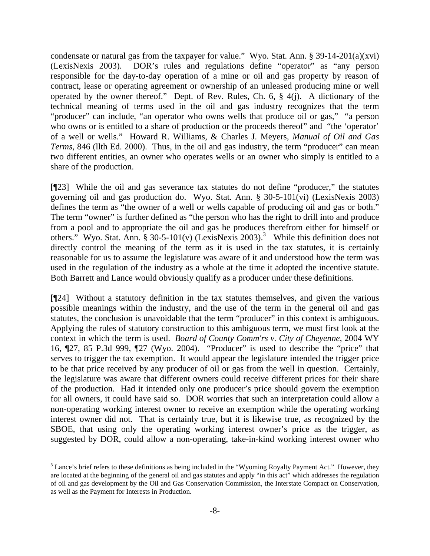condensate or natural gas from the taxpayer for value." Wyo. Stat. Ann. § 39-14-201(a)(xvi) (LexisNexis 2003). DOR's rules and regulations define "operator" as "any person responsible for the day-to-day operation of a mine or oil and gas property by reason of contract, lease or operating agreement or ownership of an unleased producing mine or well operated by the owner thereof." Dept. of Rev. Rules, Ch. 6, § 4(j). A dictionary of the technical meaning of terms used in the oil and gas industry recognizes that the term "producer" can include, "an operator who owns wells that produce oil or gas," "a person who owns or is entitled to a share of production or the proceeds thereof" and "the 'operator" of a well or wells." Howard R. Williams, & Charles J. Meyers, *Manual of Oil and Gas Terms*, 846 (llth Ed. 2000). Thus, in the oil and gas industry, the term "producer" can mean two different entities, an owner who operates wells or an owner who simply is entitled to a share of the production.

[¶23] While the oil and gas severance tax statutes do not define "producer," the statutes governing oil and gas production do. Wyo. Stat. Ann. § 30-5-101(vi) (LexisNexis 2003) defines the term as "the owner of a well or wells capable of producing oil and gas or both." The term "owner" is further defined as "the person who has the right to drill into and produce from a pool and to appropriate the oil and gas he produces therefrom either for himself or others." Wyo. Stat. Ann. § 30-5-101(v) (LexisNexis 2003).<sup>3</sup> While this definition does not directly control the meaning of the term as it is used in the tax statutes, it is certainly reasonable for us to assume the legislature was aware of it and understood how the term was used in the regulation of the industry as a whole at the time it adopted the incentive statute. Both Barrett and Lance would obviously qualify as a producer under these definitions.

[¶24] Without a statutory definition in the tax statutes themselves, and given the various possible meanings within the industry, and the use of the term in the general oil and gas statutes, the conclusion is unavoidable that the term "producer" in this context is ambiguous. Applying the rules of statutory construction to this ambiguous term, we must first look at the context in which the term is used. *Board of County Comm'rs v. City of Cheyenne*, 2004 WY 16, ¶27, 85 P.3d 999, ¶27 (Wyo. 2004). "Producer" is used to describe the "price" that serves to trigger the tax exemption. It would appear the legislature intended the trigger price to be that price received by any producer of oil or gas from the well in question. Certainly, the legislature was aware that different owners could receive different prices for their share of the production. Had it intended only one producer's price should govern the exemption for all owners, it could have said so. DOR worries that such an interpretation could allow a non-operating working interest owner to receive an exemption while the operating working interest owner did not. That is certainly true, but it is likewise true, as recognized by the SBOE, that using only the operating working interest owner's price as the trigger, as suggested by DOR, could allow a non-operating, take-in-kind working interest owner who

l

 $3$  Lance's brief refers to these definitions as being included in the "Wyoming Royalty Payment Act." However, they are located at the beginning of the general oil and gas statutes and apply "in this act" which addresses the regulation of oil and gas development by the Oil and Gas Conservation Commission, the Interstate Compact on Conservation, as well as the Payment for Interests in Production.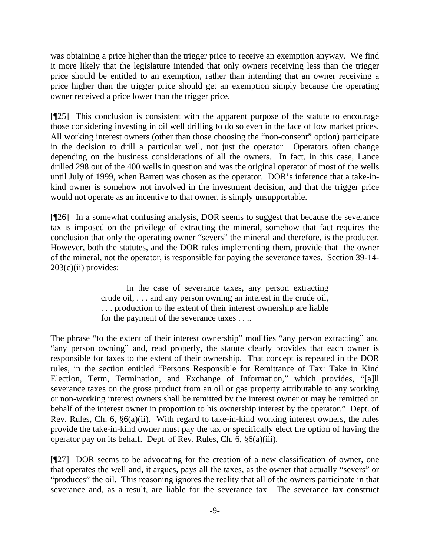was obtaining a price higher than the trigger price to receive an exemption anyway. We find it more likely that the legislature intended that only owners receiving less than the trigger price should be entitled to an exemption, rather than intending that an owner receiving a price higher than the trigger price should get an exemption simply because the operating owner received a price lower than the trigger price.

[¶25] This conclusion is consistent with the apparent purpose of the statute to encourage those considering investing in oil well drilling to do so even in the face of low market prices. All working interest owners (other than those choosing the "non-consent" option) participate in the decision to drill a particular well, not just the operator. Operators often change depending on the business considerations of all the owners. In fact, in this case, Lance drilled 298 out of the 400 wells in question and was the original operator of most of the wells until July of 1999, when Barrett was chosen as the operator. DOR's inference that a take-inkind owner is somehow not involved in the investment decision, and that the trigger price would not operate as an incentive to that owner, is simply unsupportable.

[¶26] In a somewhat confusing analysis, DOR seems to suggest that because the severance tax is imposed on the privilege of extracting the mineral, somehow that fact requires the conclusion that only the operating owner "severs" the mineral and therefore, is the producer. However, both the statutes, and the DOR rules implementing them, provide that the owner of the mineral, not the operator, is responsible for paying the severance taxes. Section 39-14-  $203(c)(ii)$  provides:

> In the case of severance taxes, any person extracting crude oil, . . . and any person owning an interest in the crude oil, . . . production to the extent of their interest ownership are liable for the payment of the severance taxes . . ..

The phrase "to the extent of their interest ownership" modifies "any person extracting" and "any person owning" and, read properly, the statute clearly provides that each owner is responsible for taxes to the extent of their ownership. That concept is repeated in the DOR rules, in the section entitled "Persons Responsible for Remittance of Tax: Take in Kind Election, Term, Termination, and Exchange of Information," which provides, "[a]ll severance taxes on the gross product from an oil or gas property attributable to any working or non-working interest owners shall be remitted by the interest owner or may be remitted on behalf of the interest owner in proportion to his ownership interest by the operator." Dept. of Rev. Rules, Ch. 6, §6(a)(ii). With regard to take-in-kind working interest owners, the rules provide the take-in-kind owner must pay the tax or specifically elect the option of having the operator pay on its behalf. Dept. of Rev. Rules, Ch. 6, §6(a)(iii).

[¶27] DOR seems to be advocating for the creation of a new classification of owner, one that operates the well and, it argues, pays all the taxes, as the owner that actually "severs" or "produces" the oil. This reasoning ignores the reality that all of the owners participate in that severance and, as a result, are liable for the severance tax. The severance tax construct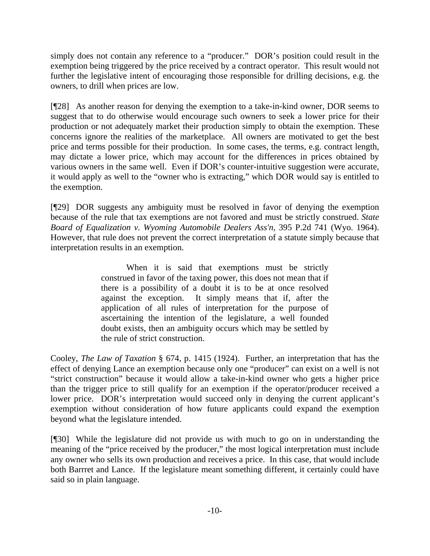simply does not contain any reference to a "producer." DOR's position could result in the exemption being triggered by the price received by a contract operator. This result would not further the legislative intent of encouraging those responsible for drilling decisions, e.g. the owners, to drill when prices are low.

[¶28] As another reason for denying the exemption to a take-in-kind owner, DOR seems to suggest that to do otherwise would encourage such owners to seek a lower price for their production or not adequately market their production simply to obtain the exemption. These concerns ignore the realities of the marketplace. All owners are motivated to get the best price and terms possible for their production. In some cases, the terms, e.g. contract length, may dictate a lower price, which may account for the differences in prices obtained by various owners in the same well. Even if DOR's counter-intuitive suggestion were accurate, it would apply as well to the "owner who is extracting," which DOR would say is entitled to the exemption.

[¶29] DOR suggests any ambiguity must be resolved in favor of denying the exemption because of the rule that tax exemptions are not favored and must be strictly construed. *State Board of Equalization v. Wyoming Automobile Dealers Ass'n,* 395 P.2d 741 (Wyo. 1964). However, that rule does not prevent the correct interpretation of a statute simply because that interpretation results in an exemption.

> When it is said that exemptions must be strictly construed in favor of the taxing power, this does not mean that if there is a possibility of a doubt it is to be at once resolved against the exception. It simply means that if, after the application of all rules of interpretation for the purpose of ascertaining the intention of the legislature, a well founded doubt exists, then an ambiguity occurs which may be settled by the rule of strict construction.

Cooley, *The Law of Taxation* § 674, p. 1415 (1924). Further, an interpretation that has the effect of denying Lance an exemption because only one "producer" can exist on a well is not "strict construction" because it would allow a take-in-kind owner who gets a higher price than the trigger price to still qualify for an exemption if the operator/producer received a lower price. DOR's interpretation would succeed only in denying the current applicant's exemption without consideration of how future applicants could expand the exemption beyond what the legislature intended.

[¶30] While the legislature did not provide us with much to go on in understanding the meaning of the "price received by the producer," the most logical interpretation must include any owner who sells its own production and receives a price. In this case, that would include both Barrret and Lance. If the legislature meant something different, it certainly could have said so in plain language.